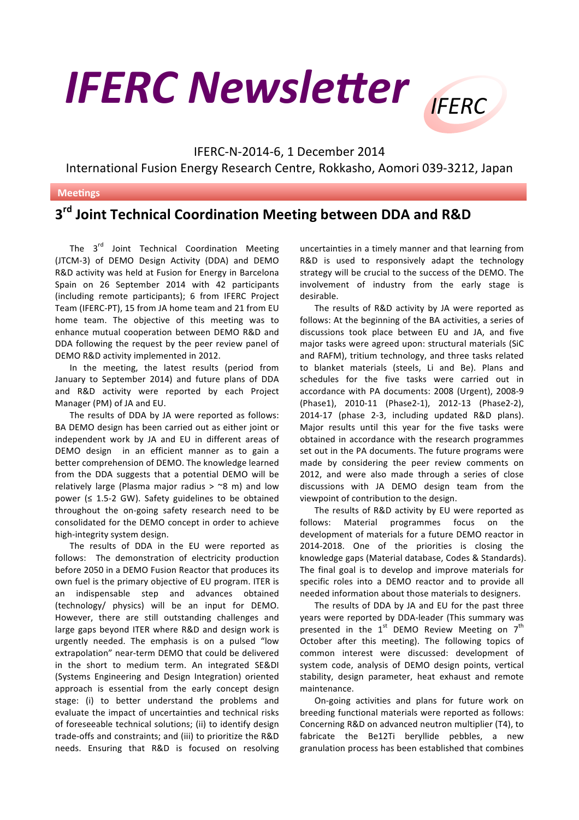

## IFERC-N-2014-6, 1 December 2014 International Fusion Energy Research Centre, Rokkasho, Aomori 039-3212, Japan

## **Meetings**

## **3rd Joint Technical Coordination Meeting between DDA and R&D**

The  $3<sup>rd</sup>$  Joint Technical Coordination Meeting (JTCM-3) of DEMO Design Activity (DDA) and DEMO R&D activity was held at Fusion for Energy in Barcelona Spain on 26 September 2014 with 42 participants (including remote participants); 6 from IFERC Project Team (IFERC-PT), 15 from JA home team and 21 from EU home team. The objective of this meeting was to enhance mutual cooperation between DEMO R&D and DDA following the request by the peer review panel of DEMO R&D activity implemented in 2012.

In the meeting, the latest results (period from January to September 2014) and future plans of DDA and R&D activity were reported by each Project Manager (PM) of JA and EU.

The results of DDA by JA were reported as follows: BA DEMO design has been carried out as either joint or independent work by JA and EU in different areas of DEMO design in an efficient manner as to gain a better comprehension of DEMO. The knowledge learned from the DDA suggests that a potential DEMO will be relatively large (Plasma major radius  $>$  ~8 m) and low power  $(≤ 1.5-2 GW)$ . Safety guidelines to be obtained throughout the on-going safety research need to be consolidated for the DEMO concept in order to achieve high-integrity system design.

The results of DDA in the EU were reported as follows: The demonstration of electricity production before 2050 in a DEMO Fusion Reactor that produces its own fuel is the primary objective of EU program. ITER is an indispensable step and advances obtained (technology/ physics) will be an input for DEMO. However, there are still outstanding challenges and large gaps beyond ITER where R&D and design work is urgently needed. The emphasis is on a pulsed "low extrapolation" near-term DEMO that could be delivered in the short to medium term. An integrated SE&DI (Systems Engineering and Design Integration) oriented approach is essential from the early concept design stage: (i) to better understand the problems and evaluate the impact of uncertainties and technical risks of foreseeable technical solutions; (ii) to identify design trade-offs and constraints; and (iii) to prioritize the R&D needs. Ensuring that R&D is focused on resolving

uncertainties in a timely manner and that learning from R&D is used to responsively adapt the technology strategy will be crucial to the success of the DEMO. The involvement of industry from the early stage is desirable. 

The results of R&D activity by JA were reported as follows: At the beginning of the BA activities, a series of discussions took place between EU and JA, and five major tasks were agreed upon: structural materials (SiC and RAFM), tritium technology, and three tasks related to blanket materials (steels, Li and Be). Plans and schedules for the five tasks were carried out in accordance with PA documents: 2008 (Urgent), 2008-9 (Phase1), 2010-11 (Phase2-1), 2012-13 (Phase2-2), 2014-17 (phase 2-3, including updated R&D plans). Major results until this year for the five tasks were obtained in accordance with the research programmes set out in the PA documents. The future programs were made by considering the peer review comments on 2012, and were also made through a series of close discussions with JA DEMO design team from the viewpoint of contribution to the design.

The results of R&D activity by EU were reported as follows: Material programmes focus on the development of materials for a future DEMO reactor in 2014-2018. One of the priorities is closing the knowledge gaps (Material database, Codes & Standards). The final goal is to develop and improve materials for specific roles into a DEMO reactor and to provide all needed information about those materials to designers.

The results of DDA by JA and EU for the past three years were reported by DDA-leader (This summary was presented in the  $1^{st}$  DEMO Review Meeting on  $7^{th}$ October after this meeting). The following topics of common interest were discussed: development of system code, analysis of DEMO design points, vertical stability, design parameter, heat exhaust and remote maintenance.

On-going activities and plans for future work on breeding functional materials were reported as follows: Concerning R&D on advanced neutron multiplier (T4), to fabricate the Be12Ti beryllide pebbles, a new granulation process has been established that combines